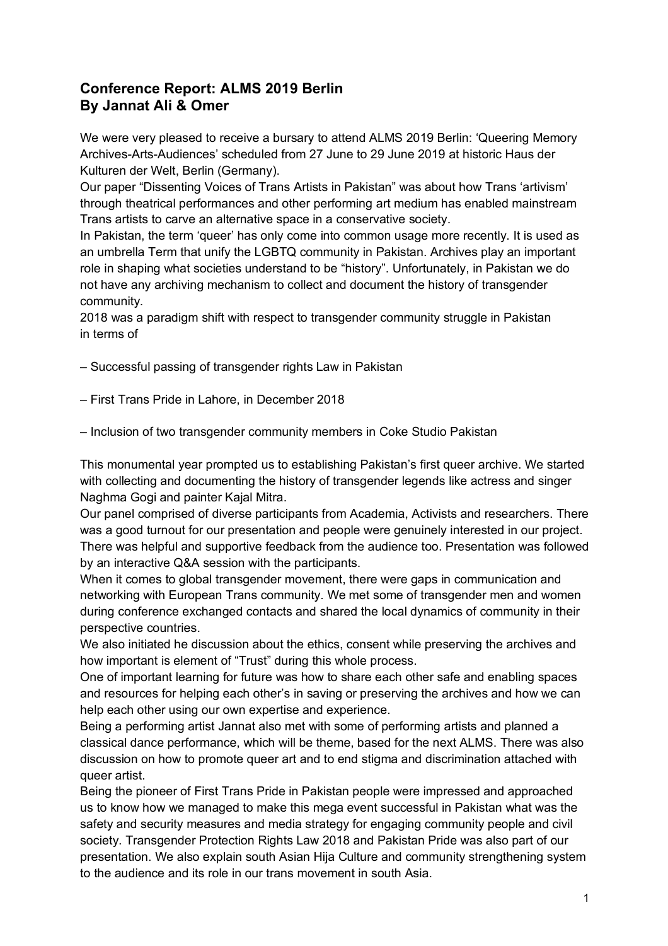## **Conference Report: ALMS 2019 Berlin By Jannat Ali & Omer**

We were very pleased to receive a bursary to attend ALMS 2019 Berlin: 'Queering Memory Archives-Arts-Audiences' scheduled from 27 June to 29 June 2019 at historic Haus der Kulturen der Welt, Berlin (Germany).

Our paper "Dissenting Voices of Trans Artists in Pakistan" was about how Trans 'artivism' through theatrical performances and other performing art medium has enabled mainstream Trans artists to carve an alternative space in a conservative society.

In Pakistan, the term 'queer' has only come into common usage more recently. It is used as an umbrella Term that unify the LGBTQ community in Pakistan. Archives play an important role in shaping what societies understand to be "history". Unfortunately, in Pakistan we do not have any archiving mechanism to collect and document the history of transgender community.

2018 was a paradigm shift with respect to transgender community struggle in Pakistan in terms of

– Successful passing of transgender rights Law in Pakistan

– First Trans Pride in Lahore, in December 2018

– Inclusion of two transgender community members in Coke Studio Pakistan

This monumental year prompted us to establishing Pakistan's first queer archive. We started with collecting and documenting the history of transgender legends like actress and singer Naghma Gogi and painter Kajal Mitra.

Our panel comprised of diverse participants from Academia, Activists and researchers. There was a good turnout for our presentation and people were genuinely interested in our project. There was helpful and supportive feedback from the audience too. Presentation was followed by an interactive Q&A session with the participants.

When it comes to global transgender movement, there were gaps in communication and networking with European Trans community. We met some of transgender men and women during conference exchanged contacts and shared the local dynamics of community in their perspective countries.

We also initiated he discussion about the ethics, consent while preserving the archives and how important is element of "Trust" during this whole process.

One of important learning for future was how to share each other safe and enabling spaces and resources for helping each other's in saving or preserving the archives and how we can help each other using our own expertise and experience.

Being a performing artist Jannat also met with some of performing artists and planned a classical dance performance, which will be theme, based for the next ALMS. There was also discussion on how to promote queer art and to end stigma and discrimination attached with queer artist.

Being the pioneer of First Trans Pride in Pakistan people were impressed and approached us to know how we managed to make this mega event successful in Pakistan what was the safety and security measures and media strategy for engaging community people and civil society. Transgender Protection Rights Law 2018 and Pakistan Pride was also part of our presentation. We also explain south Asian Hija Culture and community strengthening system to the audience and its role in our trans movement in south Asia.